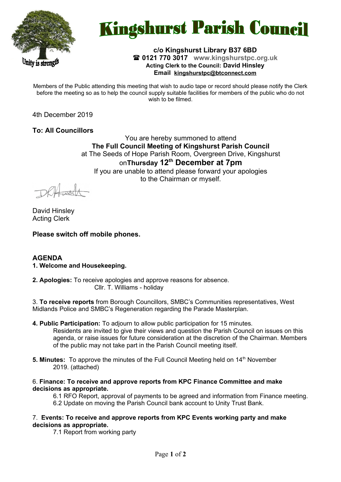

# **Kingshurst Parish Council**

# **c/o Kingshurst Library B37 6BD 0121 770 3017 www.kingshurstpc.org.uk Acting Clerk to the Council: David Hinsley Email [kingshurstpc@btconnect.com](mailto:kingshurstpc@btconnect.com)**

Members of the Public attending this meeting that wish to audio tape or record should please notify the Clerk before the meeting so as to help the council supply suitable facilities for members of the public who do not wish to be filmed.

4th December 2019

**To: All Councillors**

You are hereby summoned to attend **The Full Council Meeting of Kingshurst Parish Council** at The Seeds of Hope Parish Room, Overgreen Drive, Kingshurst on**Thursday 12th December at 7pm** If you are unable to attend please forward your apologies to the Chairman or myself.

David Hinsley Acting Clerk

**Please switch off mobile phones.**

# **AGENDA**

**1. Welcome and Housekeeping.**

**2. Apologies:** To receive apologies and approve reasons for absence. Cllr. T. Williams - holiday

3. **To receive reports** from Borough Councillors, SMBC's Communities representatives, West Midlands Police and SMBC's Regeneration regarding the Parade Masterplan.

- **4. Public Participation:** To adjourn to allow public participation for 15 minutes. Residents are invited to give their views and question the Parish Council on issues on this agenda, or raise issues for future consideration at the discretion of the Chairman. Members of the public may not take part in the Parish Council meeting itself.
- **5. Minutes:** To approve the minutes of the Full Council Meeting held on 14<sup>th</sup> November 2019. (attached)
- 6. **Finance: To receive and approve reports from KPC Finance Committee and make decisions as appropriate.**

6.1 RFO Report, approval of payments to be agreed and information from Finance meeting.

- 6.2 Update on moving the Parish Council bank account to Unity Trust Bank.
- 7. **Events: To receive and approve reports from KPC Events working party and make decisions as appropriate.**

7.1 Report from working party